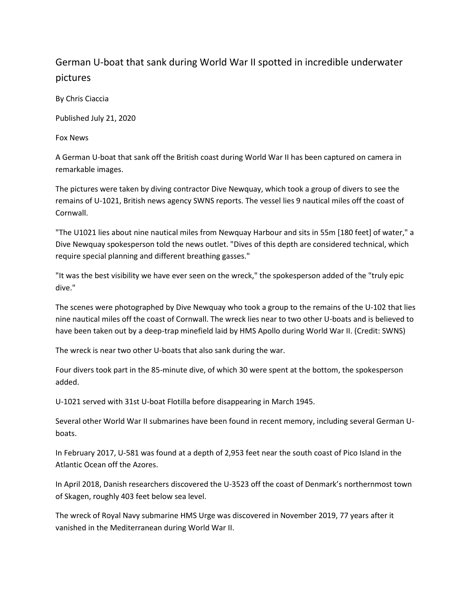## German U-boat that sank during World War II spotted in incredible underwater pictures

By Chris Ciaccia

Published July 21, 2020

Fox News

A German U-boat that sank off the British coast during World War II has been captured on camera in remarkable images.

The pictures were taken by diving contractor Dive Newquay, which took a group of divers to see the remains of U-1021, British news agency SWNS reports. The vessel lies 9 nautical miles off the coast of Cornwall.

"The U1021 lies about nine nautical miles from Newquay Harbour and sits in 55m [180 feet] of water," a Dive Newquay spokesperson told the news outlet. "Dives of this depth are considered technical, which require special planning and different breathing gasses."

"It was the best visibility we have ever seen on the wreck," the spokesperson added of the "truly epic dive."

The scenes were photographed by Dive Newquay who took a group to the remains of the U-102 that lies nine nautical miles off the coast of Cornwall. The wreck lies near to two other U-boats and is believed to have been taken out by a deep-trap minefield laid by HMS Apollo during World War II. (Credit: SWNS)

The wreck is near two other U-boats that also sank during the war.

Four divers took part in the 85-minute dive, of which 30 were spent at the bottom, the spokesperson added.

U-1021 served with 31st U-boat Flotilla before disappearing in March 1945.

Several other World War II submarines have been found in recent memory, including several German Uboats.

In February 2017, U-581 was found at a depth of 2,953 feet near the south coast of Pico Island in the Atlantic Ocean off the Azores.

In April 2018, Danish researchers discovered the U-3523 off the coast of Denmark's northernmost town of Skagen, roughly 403 feet below sea level.

The wreck of Royal Navy submarine HMS Urge was discovered in November 2019, 77 years after it vanished in the Mediterranean during World War II.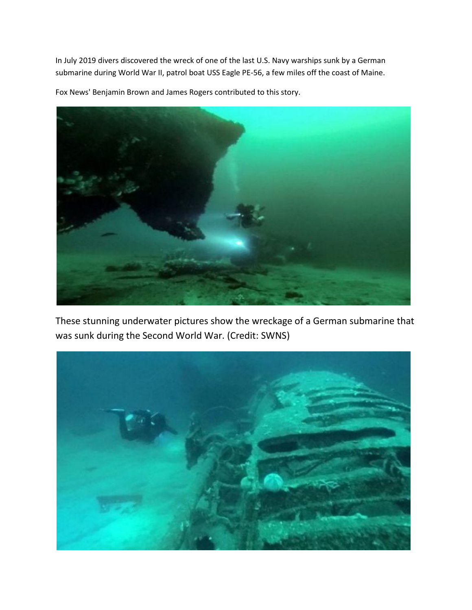In July 2019 divers discovered the wreck of one of the last U.S. Navy warships sunk by a German submarine during World War II, patrol boat USS Eagle PE-56, a few miles off the coast of Maine.

Fox News' Benjamin Brown and James Rogers contributed to this story.



These stunning underwater pictures show the wreckage of a German submarine that was sunk during the Second World War. (Credit: SWNS)